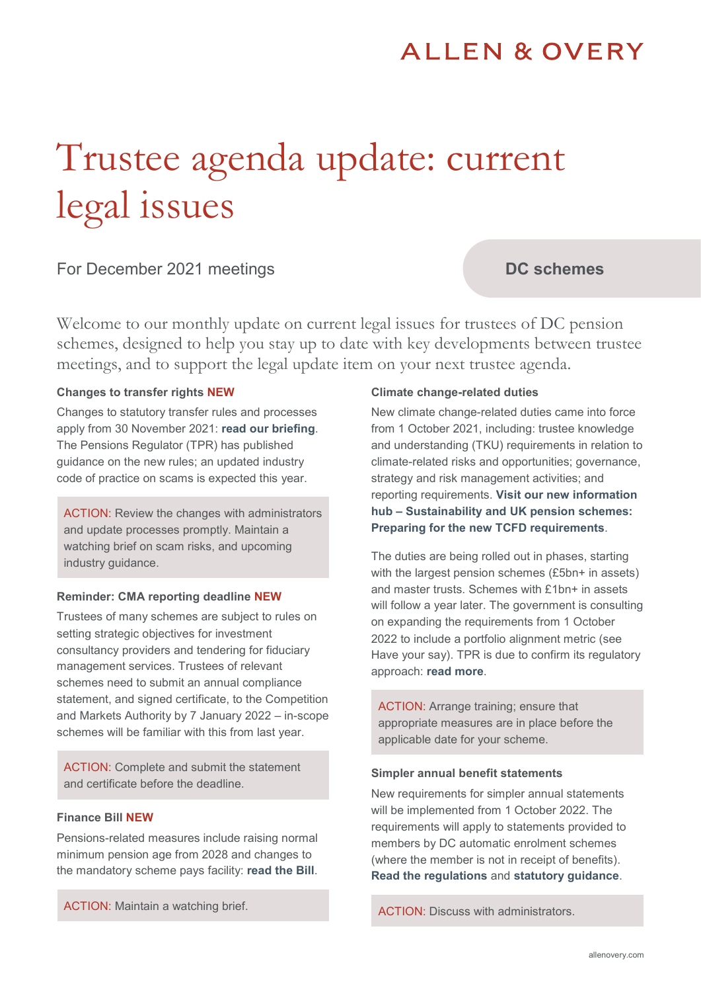# **ALLEN & OVERY**

# Trustee agenda update: current legal issues

# For December 2021 meetings

# **DC schemes**

Welcome to our monthly update on current legal issues for trustees of DC pension schemes, designed to help you stay up to date with key developments between trustee meetings, and to support the legal update item on your next trustee agenda.

#### **Changes to transfer rights NEW**

Changes to statutory transfer rules and processes apply from 30 November 2021: **[read our briefing](https://www.allenovery.com/en-gb/global/news-and-insights/publications/pensions-statutory-transfer-changes)**. The Pensions Regulator (TPR) has published guidance on the new rules; an updated industry code of practice on scams is expected this year.

ACTION: Review the changes with administrators and update processes promptly. Maintain a watching brief on scam risks, and upcoming industry guidance.

#### **Reminder: CMA reporting deadline NEW**

Trustees of many schemes are subject to rules on setting strategic objectives for investment consultancy providers and tendering for fiduciary management services. Trustees of relevant schemes need to submit an annual compliance statement, and signed certificate, to the Competition and Markets Authority by 7 January 2022 – in-scope schemes will be familiar with this from last year.

ACTION: Complete and submit the statement and certificate before the deadline.

#### **Finance Bill NEW**

Pensions-related measures include raising normal minimum pension age from 2028 and changes to the mandatory scheme pays facility: **[read the Bill](https://bills.parliament.uk/bills/3060)**.

ACTION: Maintain a watching brief.

#### **Climate change-related duties**

New climate change-related duties came into force from 1 October 2021, including: trustee knowledge and understanding (TKU) requirements in relation to climate-related risks and opportunities; governance, strategy and risk management activities; and reporting requirements. **[Visit our new information](https://www.allenovery.com/en-gb/global/news-and-insights/pensionstcfd)  hub – [Sustainability and UK pension schemes:](https://www.allenovery.com/en-gb/global/news-and-insights/pensionstcfd)  [Preparing for the new TCFD requirements](https://www.allenovery.com/en-gb/global/news-and-insights/pensionstcfd)**.

The duties are being rolled out in phases, starting with the largest pension schemes (£5bn+ in assets) and master trusts. Schemes with £1bn+ in assets will follow a year later. The government is consulting on expanding the requirements from 1 October 2022 to include a portfolio alignment metric (see Have your say). TPR is due to confirm its regulatory approach: **[read more](https://www.thepensionsregulator.gov.uk/en/document-library/consultations/climate-change-guidance)**.

ACTION: Arrange training; ensure that appropriate measures are in place before the applicable date for your scheme.

#### **Simpler annual benefit statements**

New requirements for simpler annual statements will be implemented from 1 October 2022. The requirements will apply to statements provided to members by DC automatic enrolment schemes (where the member is not in receipt of benefits). **[Read the regulations](https://www.legislation.gov.uk/uksi/2021/1150/made)** and **[statutory guidance](https://www.gov.uk/government/publications/how-to-provide-simpler-annual-benefit-statements)**.

ACTION: Discuss with administrators.